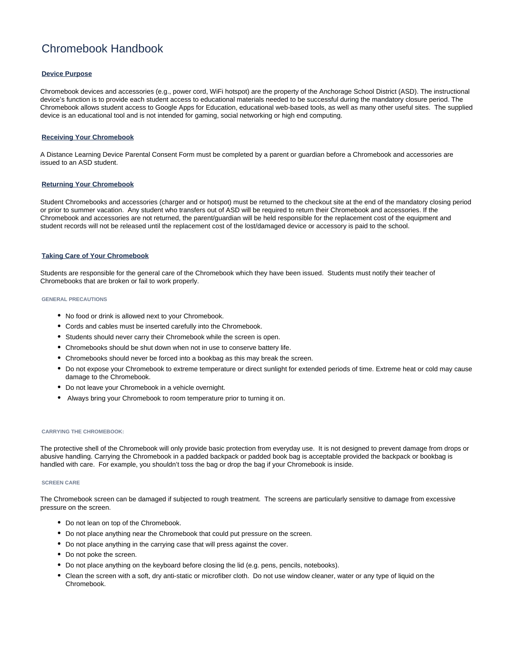# Chromebook Handbook

## **Device Purpose**

Chromebook devices and accessories (e.g., power cord, WiFi hotspot) are the property of the Anchorage School District (ASD). The instructional device's function is to provide each student access to educational materials needed to be successful during the mandatory closure period. The Chromebook allows student access to Google Apps for Education, educational web-based tools, as well as many other useful sites. The supplied device is an educational tool and is not intended for gaming, social networking or high end computing.

### **Receiving Your Chromebook**

A Distance Learning Device Parental Consent Form must be completed by a parent or guardian before a Chromebook and accessories are issued to an ASD student.

#### **Returning Your Chromebook**

Student Chromebooks and accessories (charger and or hotspot) must be returned to the checkout site at the end of the mandatory closing period or prior to summer vacation. Any student who transfers out of ASD will be required to return their Chromebook and accessories. If the Chromebook and accessories are not returned, the parent/guardian will be held responsible for the replacement cost of the equipment and student records will not be released until the replacement cost of the lost/damaged device or accessory is paid to the school.

#### **Taking Care of Your Chromebook**

Students are responsible for the general care of the Chromebook which they have been issued. Students must notify their teacher of Chromebooks that are broken or fail to work properly.

#### **GENERAL PRECAUTIONS**

- No food or drink is allowed next to your Chromebook.
- Cords and cables must be inserted carefully into the Chromebook.
- Students should never carry their Chromebook while the screen is open.
- Chromebooks should be shut down when not in use to conserve battery life.
- Chromebooks should never be forced into a bookbag as this may break the screen.
- Do not expose your Chromebook to extreme temperature or direct sunlight for extended periods of time. Extreme heat or cold may cause damage to the Chromebook.
- Do not leave your Chromebook in a vehicle overnight.
- Always bring your Chromebook to room temperature prior to turning it on.

#### **CARRYING THE CHROMEBOOK:**

The protective shell of the Chromebook will only provide basic protection from everyday use. It is not designed to prevent damage from drops or abusive handling. Carrying the Chromebook in a padded backpack or padded book bag is acceptable provided the backpack or bookbag is handled with care. For example, you shouldn't toss the bag or drop the bag if your Chromebook is inside.

#### **SCREEN CARE**

The Chromebook screen can be damaged if subjected to rough treatment. The screens are particularly sensitive to damage from excessive pressure on the screen.

- Do not lean on top of the Chromebook.
- Do not place anything near the Chromebook that could put pressure on the screen.
- Do not place anything in the carrying case that will press against the cover.
- Do not poke the screen.
- Do not place anything on the keyboard before closing the lid (e.g. pens, pencils, notebooks).
- Clean the screen with a soft, dry anti-static or microfiber cloth. Do not use window cleaner, water or any type of liquid on the Chromebook.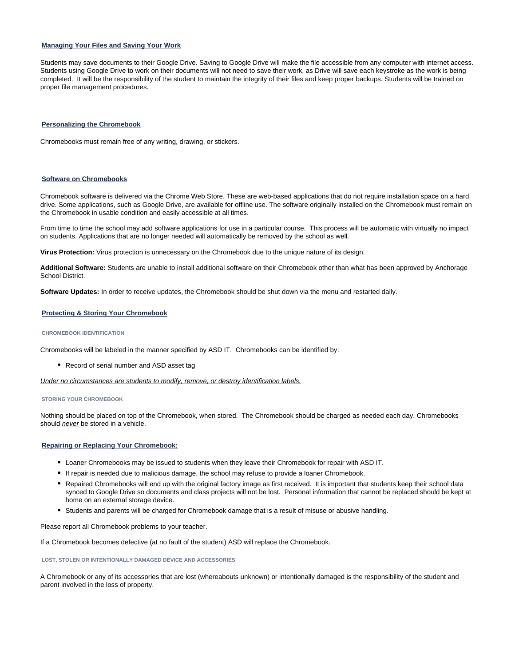## **Managing Your Files and Saving Your Work**

Students may save documents to their Google Drive. Saving to Google Drive will make the file accessible from any computer with internet access. Students using Google Drive to work on their documents will not need to save their work, as Drive will save each keystroke as the work is being completed. It will be the responsibility of the student to maintain the integrity of their files and keep proper backups. Students will be trained on proper file management procedures.

#### **Personalizing the Chromebook**

Chromebooks must remain free of any writing, drawing, or stickers.

#### **Software on Chromebooks**

Chromebook software is delivered via the Chrome Web Store. These are web-based applications that do not require installation space on a hard drive. Some applications, such as Google Drive, are available for offline use. The software originally installed on the Chromebook must remain on the Chromebook in usable condition and easily accessible at all times.

From time to time the school may add software applications for use in a particular course. This process will be automatic with virtually no impact on students. Applications that are no longer needed will automatically be removed by the school as well.

**Virus Protection:** Virus protection is unnecessary on the Chromebook due to the unique nature of its design.

**Additional Software:** Students are unable to install additional software on their Chromebook other than what has been approved by Anchorage School District.

**Software Updates:** In order to receive updates, the Chromebook should be shut down via the menu and restarted daily.

#### **Protecting & Storing Your Chromebook**

#### **CHROMEBOOK IDENTIFICATION**

Chromebooks will be labeled in the manner specified by ASD IT. Chromebooks can be identified by:

• Record of serial number and ASD asset tag

Under no circumstances are students to modify, remove, or destroy identification labels.

#### **STORING YOUR CHROMEBOOK**

Nothing should be placed on top of the Chromebook, when stored. The Chromebook should be charged as needed each day. Chromebooks should *never* be stored in a vehicle.

#### **Repairing or Replacing Your Chromebook:**

- Loaner Chromebooks may be issued to students when they leave their Chromebook for repair with ASD IT.
- If repair is needed due to malicious damage, the school may refuse to provide a loaner Chromebook.
- Repaired Chromebooks will end up with the original factory image as first received. It is important that students keep their school data synced to Google Drive so documents and class projects will not be lost. Personal information that cannot be replaced should be kept at home on an external storage device.
- Students and parents will be charged for Chromebook damage that is a result of misuse or abusive handling.

Please report all Chromebook problems to your teacher.

If a Chromebook becomes defective (at no fault of the student) ASD will replace the Chromebook.

**LOST, STOLEN OR INTENTIONALLY DAMAGED DEVICE AND ACCESSORIES**

A Chromebook or any of its accessories that are lost (whereabouts unknown) or intentionally damaged is the responsibility of the student and parent involved in the loss of property.